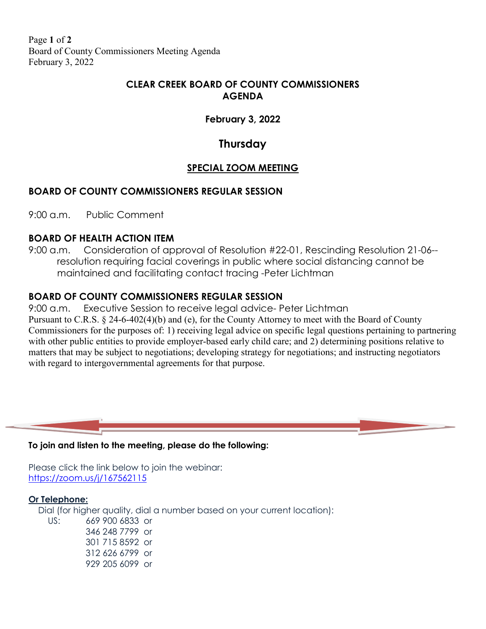Page **1** of **2** Board of County Commissioners Meeting Agenda February 3, 2022

## **CLEAR CREEK BOARD OF COUNTY COMMISSIONERS AGENDA**

## **February 3, 2022**

# **Thursday**

# **SPECIAL ZOOM MEETING**

## **BOARD OF COUNTY COMMISSIONERS REGULAR SESSION**

9:00 a.m. Public Comment

### **BOARD OF HEALTH ACTION ITEM**

9:00 a.m. Consideration of approval of Resolution #22-01, Rescinding Resolution 21-06- resolution requiring facial coverings in public where social distancing cannot be maintained and facilitating contact tracing -Peter Lichtman

## **BOARD OF COUNTY COMMISSIONERS REGULAR SESSION**

9:00 a.m. Executive Session to receive legal advice- Peter Lichtman Pursuant to C.R.S. § 24-6-402(4)(b) and (e), for the County Attorney to meet with the Board of County Commissioners for the purposes of: 1) receiving legal advice on specific legal questions pertaining to partnering with other public entities to provide employer-based early child care; and 2) determining positions relative to matters that may be subject to negotiations; developing strategy for negotiations; and instructing negotiators with regard to intergovernmental agreements for that purpose.



Please click the link below to join the webinar: <https://zoom.us/j/167562115>

#### **Or Telephone:**

Dial (for higher quality, dial a number based on your current location):

 US: 669 900 6833 or 346 248 7799 or 301 715 8592 or 312 626 6799 or 929 205 6099 or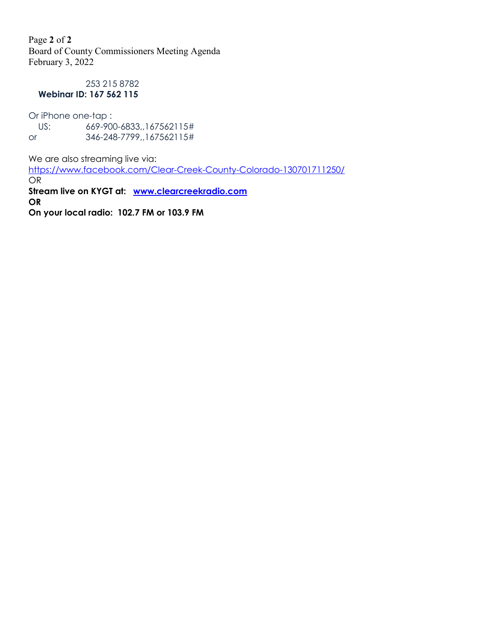Page **2** of **2** Board of County Commissioners Meeting Agenda February 3, 2022

#### 253 215 8782  **Webinar ID: 167 562 115**

Or iPhone one-tap :

 US: 669-900-6833,,167562115# or 346-248-7799,,167562115#

We are also streaming live via:

<https://www.facebook.com/Clear-Creek-County-Colorado-130701711250/>

OR **Stream live on KYGT at: [www.clearcreekradio.com](http://www.clearcreekradio.com/) OR On your local radio: 102.7 FM or 103.9 FM**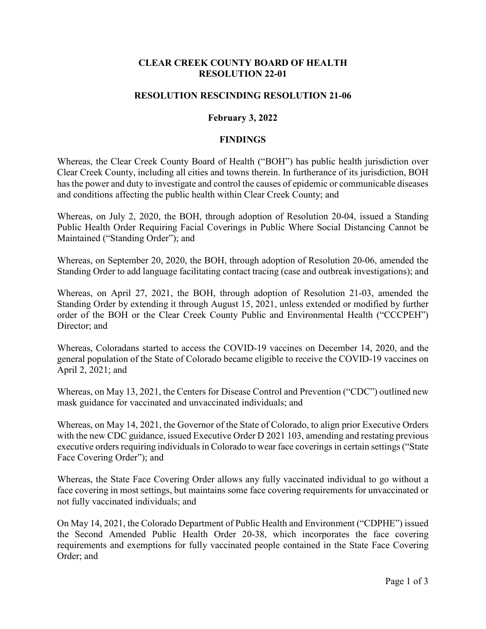#### **CLEAR CREEK COUNTY BOARD OF HEALTH RESOLUTION 22-01**

#### **RESOLUTION RESCINDING RESOLUTION 21-06**

#### **February 3, 2022**

#### **FINDINGS**

Whereas, the Clear Creek County Board of Health ("BOH") has public health jurisdiction over Clear Creek County, including all cities and towns therein. In furtherance of its jurisdiction, BOH has the power and duty to investigate and control the causes of epidemic or communicable diseases and conditions affecting the public health within Clear Creek County; and

Whereas, on July 2, 2020, the BOH, through adoption of Resolution 20-04, issued a Standing Public Health Order Requiring Facial Coverings in Public Where Social Distancing Cannot be Maintained ("Standing Order"); and

Whereas, on September 20, 2020, the BOH, through adoption of Resolution 20-06, amended the Standing Order to add language facilitating contact tracing (case and outbreak investigations); and

Whereas, on April 27, 2021, the BOH, through adoption of Resolution 21-03, amended the Standing Order by extending it through August 15, 2021, unless extended or modified by further order of the BOH or the Clear Creek County Public and Environmental Health ("CCCPEH") Director; and

Whereas, Coloradans started to access the COVID-19 vaccines on December 14, 2020, and the general population of the State of Colorado became eligible to receive the COVID-19 vaccines on April 2, 2021; and

Whereas, on May 13, 2021, the Centers for Disease Control and Prevention ("CDC") outlined new mask guidance for vaccinated and unvaccinated individuals; and

Whereas, on May 14, 2021, the Governor of the State of Colorado, to align prior Executive Orders with the new CDC guidance, issued Executive Order D 2021 103, amending and restating previous executive orders requiring individuals in Colorado to wear face coverings in certain settings ("State Face Covering Order"); and

Whereas, the State Face Covering Order allows any fully vaccinated individual to go without a face covering in most settings, but maintains some face covering requirements for unvaccinated or not fully vaccinated individuals; and

On May 14, 2021, the Colorado Department of Public Health and Environment ("CDPHE") issued the Second Amended Public Health Order 20-38, which incorporates the face covering requirements and exemptions for fully vaccinated people contained in the State Face Covering Order; and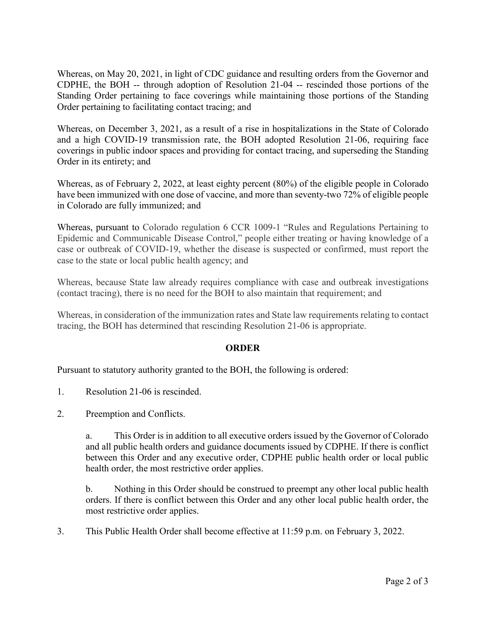Whereas, on May 20, 2021, in light of CDC guidance and resulting orders from the Governor and CDPHE, the BOH -- through adoption of Resolution 21-04 -- rescinded those portions of the Standing Order pertaining to face coverings while maintaining those portions of the Standing Order pertaining to facilitating contact tracing; and

Whereas, on December 3, 2021, as a result of a rise in hospitalizations in the State of Colorado and a high COVID-19 transmission rate, the BOH adopted Resolution 21-06, requiring face coverings in public indoor spaces and providing for contact tracing, and superseding the Standing Order in its entirety; and

Whereas, as of February 2, 2022, at least eighty percent (80%) of the eligible people in Colorado have been immunized with one dose of vaccine, and more than seventy-two 72% of eligible people in Colorado are fully immunized; and

Whereas, pursuant to Colorado regulation 6 CCR 1009-1 "Rules and Regulations Pertaining to Epidemic and Communicable Disease Control," people either treating or having knowledge of a case or outbreak of COVID-19, whether the disease is suspected or confirmed, must report the case to the state or local public health agency; and

Whereas, because State law already requires compliance with case and outbreak investigations (contact tracing), there is no need for the BOH to also maintain that requirement; and

Whereas, in consideration of the immunization rates and State law requirements relating to contact tracing, the BOH has determined that rescinding Resolution 21-06 is appropriate.

### **ORDER**

Pursuant to statutory authority granted to the BOH, the following is ordered:

- 1. Resolution 21-06 is rescinded.
- 2. Preemption and Conflicts.

a. This Order is in addition to all executive orders issued by the Governor of Colorado and all public health orders and guidance documents issued by CDPHE. If there is conflict between this Order and any executive order, CDPHE public health order or local public health order, the most restrictive order applies.

b. Nothing in this Order should be construed to preempt any other local public health orders. If there is conflict between this Order and any other local public health order, the most restrictive order applies.

3. This Public Health Order shall become effective at 11:59 p.m. on February 3, 2022.